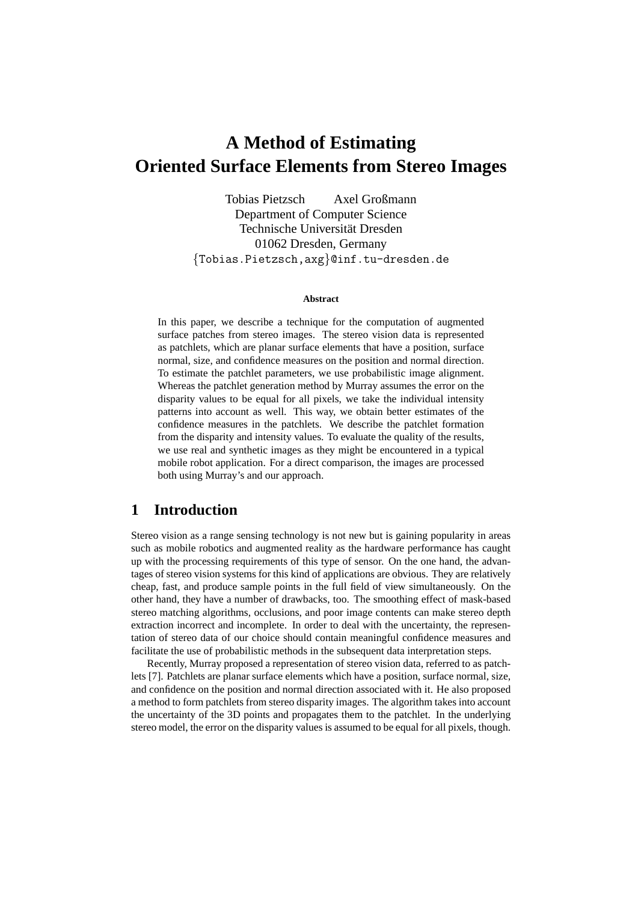# **A Method of Estimating Oriented Surface Elements from Stereo Images**

Tobias Pietzsch Axel Großmann Department of Computer Science Technische Universität Dresden 01062 Dresden, Germany {Tobias.Pietzsch,axg}@inf.tu-dresden.de

#### **Abstract**

In this paper, we describe a technique for the computation of augmented surface patches from stereo images. The stereo vision data is represented as patchlets, which are planar surface elements that have a position, surface normal, size, and confidence measures on the position and normal direction. To estimate the patchlet parameters, we use probabilistic image alignment. Whereas the patchlet generation method by Murray assumes the error on the disparity values to be equal for all pixels, we take the individual intensity patterns into account as well. This way, we obtain better estimates of the confidence measures in the patchlets. We describe the patchlet formation from the disparity and intensity values. To evaluate the quality of the results, we use real and synthetic images as they might be encountered in a typical mobile robot application. For a direct comparison, the images are processed both using Murray's and our approach.

#### **1 Introduction**

Stereo vision as a range sensing technology is not new but is gaining popularity in areas such as mobile robotics and augmented reality as the hardware performance has caught up with the processing requirements of this type of sensor. On the one hand, the advantages of stereo vision systems for this kind of applications are obvious. They are relatively cheap, fast, and produce sample points in the full field of view simultaneously. On the other hand, they have a number of drawbacks, too. The smoothing effect of mask-based stereo matching algorithms, occlusions, and poor image contents can make stereo depth extraction incorrect and incomplete. In order to deal with the uncertainty, the representation of stereo data of our choice should contain meaningful confidence measures and facilitate the use of probabilistic methods in the subsequent data interpretation steps.

Recently, Murray proposed a representation of stereo vision data, referred to as patchlets [7]. Patchlets are planar surface elements which have a position, surface normal, size, and confidence on the position and normal direction associated with it. He also proposed a method to form patchlets from stereo disparity images. The algorithm takes into account the uncertainty of the 3D points and propagates them to the patchlet. In the underlying stereo model, the error on the disparity values is assumed to be equal for all pixels, though.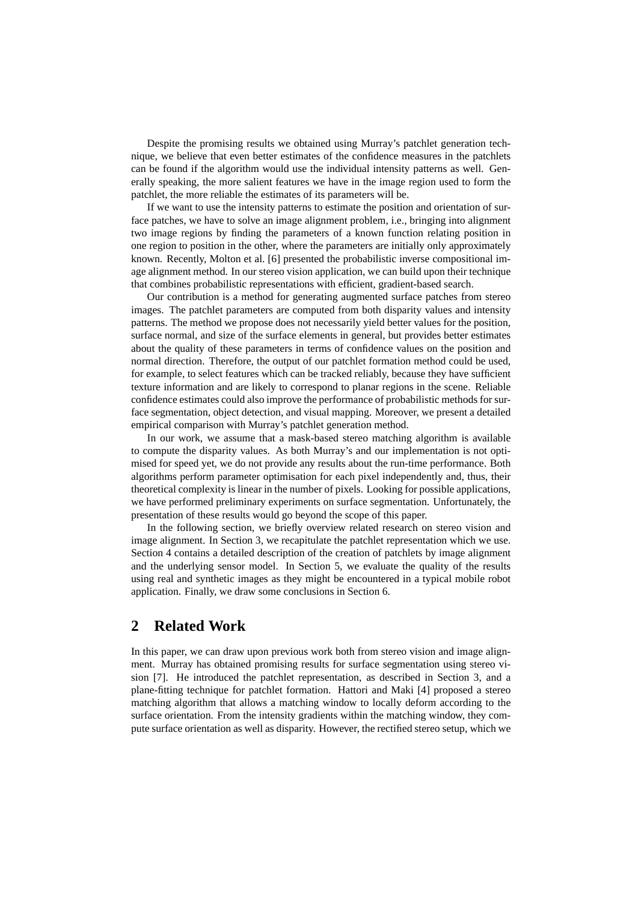Despite the promising results we obtained using Murray's patchlet generation technique, we believe that even better estimates of the confidence measures in the patchlets can be found if the algorithm would use the individual intensity patterns as well. Generally speaking, the more salient features we have in the image region used to form the patchlet, the more reliable the estimates of its parameters will be.

If we want to use the intensity patterns to estimate the position and orientation of surface patches, we have to solve an image alignment problem, i.e., bringing into alignment two image regions by finding the parameters of a known function relating position in one region to position in the other, where the parameters are initially only approximately known. Recently, Molton et al. [6] presented the probabilistic inverse compositional image alignment method. In our stereo vision application, we can build upon their technique that combines probabilistic representations with efficient, gradient-based search.

Our contribution is a method for generating augmented surface patches from stereo images. The patchlet parameters are computed from both disparity values and intensity patterns. The method we propose does not necessarily yield better values for the position, surface normal, and size of the surface elements in general, but provides better estimates about the quality of these parameters in terms of confidence values on the position and normal direction. Therefore, the output of our patchlet formation method could be used, for example, to select features which can be tracked reliably, because they have sufficient texture information and are likely to correspond to planar regions in the scene. Reliable confidence estimates could also improve the performance of probabilistic methods for surface segmentation, object detection, and visual mapping. Moreover, we present a detailed empirical comparison with Murray's patchlet generation method.

In our work, we assume that a mask-based stereo matching algorithm is available to compute the disparity values. As both Murray's and our implementation is not optimised for speed yet, we do not provide any results about the run-time performance. Both algorithms perform parameter optimisation for each pixel independently and, thus, their theoretical complexity is linear in the number of pixels. Looking for possible applications, we have performed preliminary experiments on surface segmentation. Unfortunately, the presentation of these results would go beyond the scope of this paper.

In the following section, we briefly overview related research on stereo vision and image alignment. In Section 3, we recapitulate the patchlet representation which we use. Section 4 contains a detailed description of the creation of patchlets by image alignment and the underlying sensor model. In Section 5, we evaluate the quality of the results using real and synthetic images as they might be encountered in a typical mobile robot application. Finally, we draw some conclusions in Section 6.

### **2 Related Work**

In this paper, we can draw upon previous work both from stereo vision and image alignment. Murray has obtained promising results for surface segmentation using stereo vision [7]. He introduced the patchlet representation, as described in Section 3, and a plane-fitting technique for patchlet formation. Hattori and Maki [4] proposed a stereo matching algorithm that allows a matching window to locally deform according to the surface orientation. From the intensity gradients within the matching window, they compute surface orientation as well as disparity. However, the rectified stereo setup, which we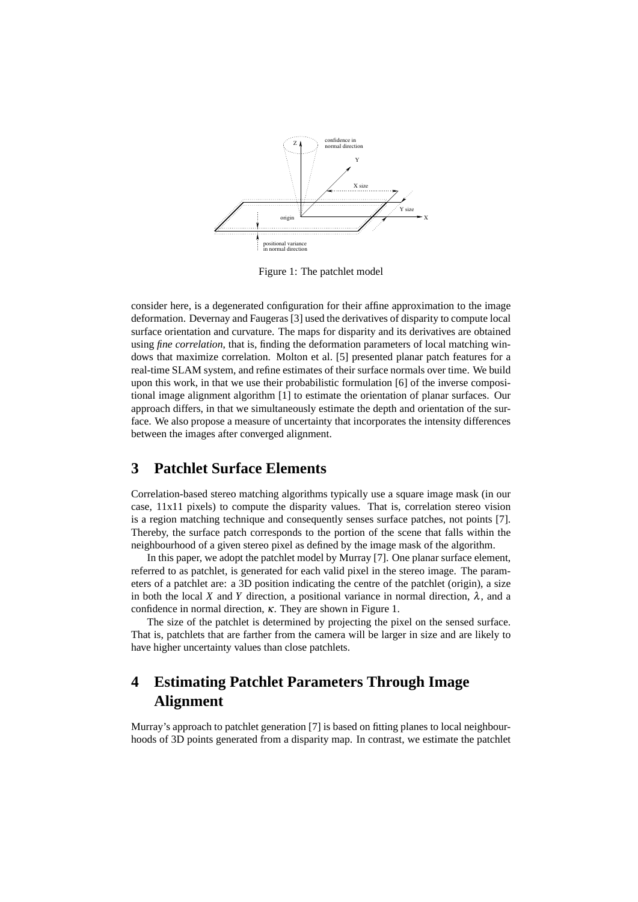

Figure 1: The patchlet model

consider here, is a degenerated configuration for their affine approximation to the image deformation. Devernay and Faugeras [3] used the derivatives of disparity to compute local surface orientation and curvature. The maps for disparity and its derivatives are obtained using *fine correlation*, that is, finding the deformation parameters of local matching windows that maximize correlation. Molton et al. [5] presented planar patch features for a real-time SLAM system, and refine estimates of their surface normals over time. We build upon this work, in that we use their probabilistic formulation [6] of the inverse compositional image alignment algorithm [1] to estimate the orientation of planar surfaces. Our approach differs, in that we simultaneously estimate the depth and orientation of the surface. We also propose a measure of uncertainty that incorporates the intensity differences between the images after converged alignment.

## **3 Patchlet Surface Elements**

Correlation-based stereo matching algorithms typically use a square image mask (in our case, 11x11 pixels) to compute the disparity values. That is, correlation stereo vision is a region matching technique and consequently senses surface patches, not points [7]. Thereby, the surface patch corresponds to the portion of the scene that falls within the neighbourhood of a given stereo pixel as defined by the image mask of the algorithm.

In this paper, we adopt the patchlet model by Murray [7]. One planar surface element, referred to as patchlet, is generated for each valid pixel in the stereo image. The parameters of a patchlet are: a 3D position indicating the centre of the patchlet (origin), a size in both the local *X* and *Y* direction, a positional variance in normal direction,  $\lambda$ , and a confidence in normal direction,  $\kappa$ . They are shown in Figure 1.

The size of the patchlet is determined by projecting the pixel on the sensed surface. That is, patchlets that are farther from the camera will be larger in size and are likely to have higher uncertainty values than close patchlets.

## **4 Estimating Patchlet Parameters Through Image Alignment**

Murray's approach to patchlet generation [7] is based on fitting planes to local neighbourhoods of 3D points generated from a disparity map. In contrast, we estimate the patchlet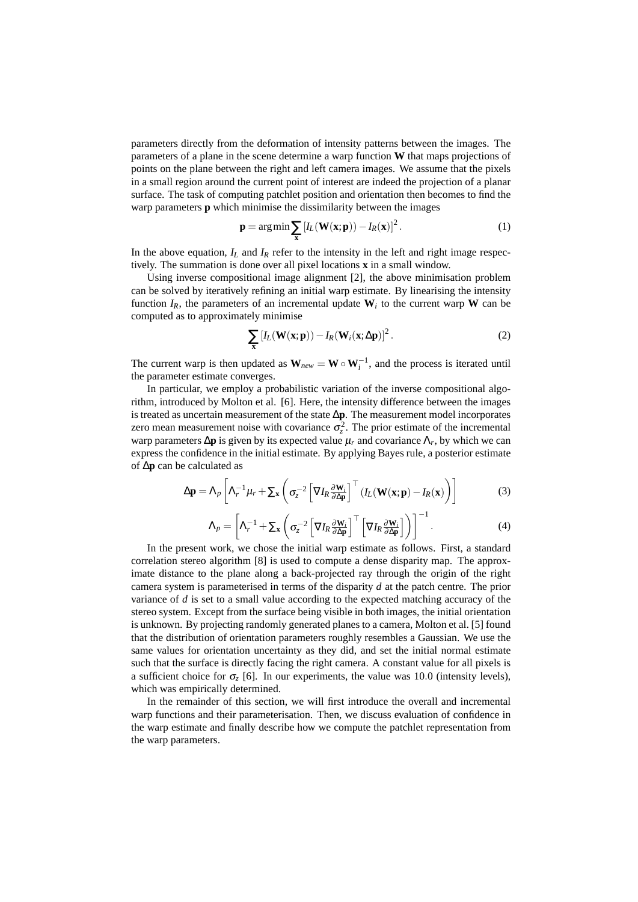parameters directly from the deformation of intensity patterns between the images. The parameters of a plane in the scene determine a warp function **W** that maps projections of points on the plane between the right and left camera images. We assume that the pixels in a small region around the current point of interest are indeed the projection of a planar surface. The task of computing patchlet position and orientation then becomes to find the warp parameters **p** which minimise the dissimilarity between the images

$$
\mathbf{p} = \arg\min \sum_{\mathbf{x}} \left[ I_L(\mathbf{W}(\mathbf{x}; \mathbf{p})) - I_R(\mathbf{x}) \right]^2.
$$
 (1)

In the above equation,  $I_L$  and  $I_R$  refer to the intensity in the left and right image respectively. The summation is done over all pixel locations **x** in a small window.

Using inverse compositional image alignment [2], the above minimisation problem can be solved by iteratively refining an initial warp estimate. By linearising the intensity function  $I_R$ , the parameters of an incremental update  $W_i$  to the current warp W can be computed as to approximately minimise

$$
\sum_{\mathbf{x}} \left[ I_L(\mathbf{W}(\mathbf{x}; \mathbf{p})) - I_R(\mathbf{W}_i(\mathbf{x}; \Delta \mathbf{p}) \right]^2.
$$
 (2)

The current warp is then updated as  $W_{new} = W \circ W_i^{-1}$ , and the process is iterated until the parameter estimate converges.

In particular, we employ a probabilistic variation of the inverse compositional algorithm, introduced by Molton et al. [6]. Here, the intensity difference between the images is treated as uncertain measurement of the state ∆**p**. The measurement model incorporates zero mean measurement noise with covariance  $\sigma_z^2$ . The prior estimate of the incremental warp parameters ∆**p** is given by its expected value µ*<sup>r</sup>* and covariance Λ*<sup>r</sup>* , by which we can express the confidence in the initial estimate. By applying Bayes rule, a posterior estimate of ∆**p** can be calculated as

$$
\Delta \mathbf{p} = \Lambda_p \left[ \Lambda_r^{-1} \mu_r + \Sigma_\mathbf{x} \left( \sigma_z^{-2} \left[ \nabla I_R \frac{\partial \mathbf{W}_i}{\partial \Delta \mathbf{p}} \right]^\top \left( I_L(\mathbf{W}(\mathbf{x}; \mathbf{p}) - I_R(\mathbf{x}) \right) \right] \right]
$$
(3)

$$
\Lambda_p = \left[ \Lambda_r^{-1} + \Sigma_{\mathbf{x}} \left( \sigma_z^{-2} \left[ \nabla I_R \frac{\partial \mathbf{W}_i}{\partial \Delta \mathbf{p}} \right]^\top \left[ \nabla I_R \frac{\partial \mathbf{W}_i}{\partial \Delta \mathbf{p}} \right] \right) \right]^{-1} . \tag{4}
$$

In the present work, we chose the initial warp estimate as follows. First, a standard correlation stereo algorithm [8] is used to compute a dense disparity map. The approximate distance to the plane along a back-projected ray through the origin of the right camera system is parameterised in terms of the disparity *d* at the patch centre. The prior variance of *d* is set to a small value according to the expected matching accuracy of the stereo system. Except from the surface being visible in both images, the initial orientation is unknown. By projecting randomly generated planes to a camera, Molton et al. [5] found that the distribution of orientation parameters roughly resembles a Gaussian. We use the same values for orientation uncertainty as they did, and set the initial normal estimate such that the surface is directly facing the right camera. A constant value for all pixels is a sufficient choice for  $\sigma$ <sub>z</sub> [6]. In our experiments, the value was 10.0 (intensity levels), which was empirically determined.

In the remainder of this section, we will first introduce the overall and incremental warp functions and their parameterisation. Then, we discuss evaluation of confidence in the warp estimate and finally describe how we compute the patchlet representation from the warp parameters.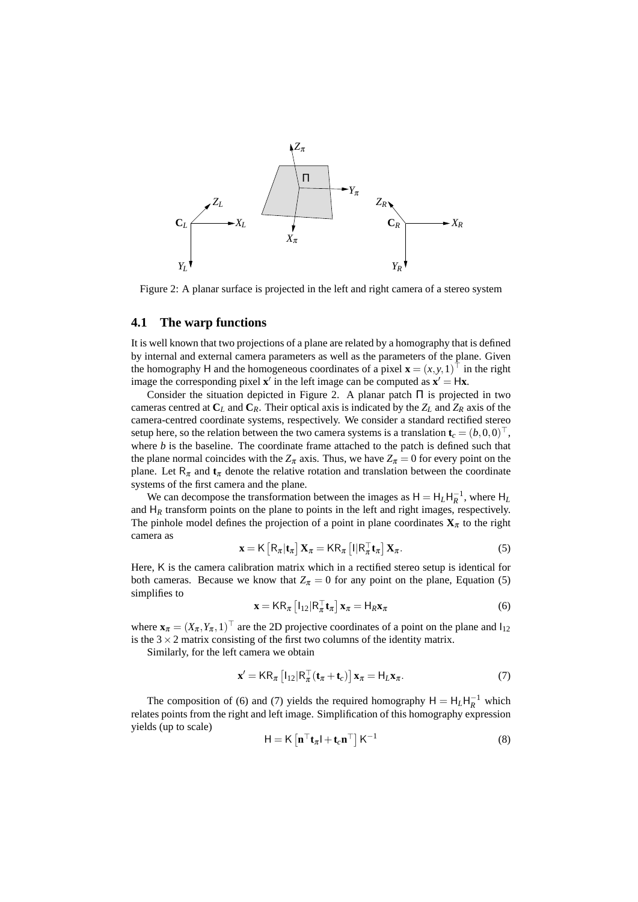

Figure 2: A planar surface is projected in the left and right camera of a stereo system

#### **4.1 The warp functions**

It is well known that two projections of a plane are related by a homography that is defined by internal and external camera parameters as well as the parameters of the plane. Given the homography H and the homogeneous coordinates of a pixel  $\mathbf{x} = (x, y, 1)^\top$  in the right image the corresponding pixel  $\mathbf{x}'$  in the left image can be computed as  $\mathbf{x}' = H\mathbf{x}$ .

Consider the situation depicted in Figure 2. A planar patch  $\Pi$  is projected in two cameras centred at  $C_L$  and  $C_R$ . Their optical axis is indicated by the  $Z_L$  and  $Z_R$  axis of the camera-centred coordinate systems, respectively. We consider a standard rectified stereo setup here, so the relation between the two camera systems is a translation  $\mathbf{t}_c = (b, 0, 0)^\top$ , where *b* is the baseline. The coordinate frame attached to the patch is defined such that the plane normal coincides with the  $Z_{\pi}$  axis. Thus, we have  $Z_{\pi} = 0$  for every point on the plane. Let  $\mathsf{R}_{\pi}$  and  $\mathbf{t}_{\pi}$  denote the relative rotation and translation between the coordinate systems of the first camera and the plane.

We can decompose the transformation between the images as  $H = H_L H_R^{-1}$ , where  $H_L$ and  $H_R$  transform points on the plane to points in the left and right images, respectively. The pinhole model defines the projection of a point in plane coordinates  $\mathbf{X}_{\pi}$  to the right camera as

$$
\mathbf{x} = \mathsf{K}\left[\mathsf{R}_{\pi}|\mathbf{t}_{\pi}\right]\mathbf{X}_{\pi} = \mathsf{K}\mathsf{R}_{\pi}\left[\mathsf{I}|\mathsf{R}_{\pi}^{\top}\mathbf{t}_{\pi}\right]\mathbf{X}_{\pi}.\tag{5}
$$

Here, K is the camera calibration matrix which in a rectified stereo setup is identical for both cameras. Because we know that  $Z_{\pi} = 0$  for any point on the plane, Equation (5) simplifies to

$$
\mathbf{x} = \mathsf{K} \mathsf{R}_{\pi} \left[ \mathsf{I}_{12} | \mathsf{R}_{\pi}^{\top} \mathbf{t}_{\pi} \right] \mathbf{x}_{\pi} = \mathsf{H}_{R} \mathbf{x}_{\pi} \tag{6}
$$

where  $\mathbf{x}_{\pi} = (X_{\pi}, Y_{\pi}, 1)^{\top}$  are the 2D projective coordinates of a point on the plane and  $I_{12}$ is the  $3 \times 2$  matrix consisting of the first two columns of the identity matrix.

Similarly, for the left camera we obtain

$$
\mathbf{x}' = \mathsf{K} \mathsf{R}_{\pi} \left[ \mathsf{I}_{12} | \mathsf{R}_{\pi}^{\top} (\mathbf{t}_{\pi} + \mathbf{t}_{c}) \right] \mathbf{x}_{\pi} = \mathsf{H}_{L} \mathbf{x}_{\pi}.
$$
 (7)

The composition of (6) and (7) yields the required homography  $H = H_L H_R^{-1}$  which relates points from the right and left image. Simplification of this homography expression yields (up to scale)

$$
\mathsf{H} = \mathsf{K} \left[ \mathbf{n}^\top \mathbf{t}_{\pi} \mathsf{I} + \mathbf{t}_c \mathbf{n}^\top \right] \mathsf{K}^{-1} \tag{8}
$$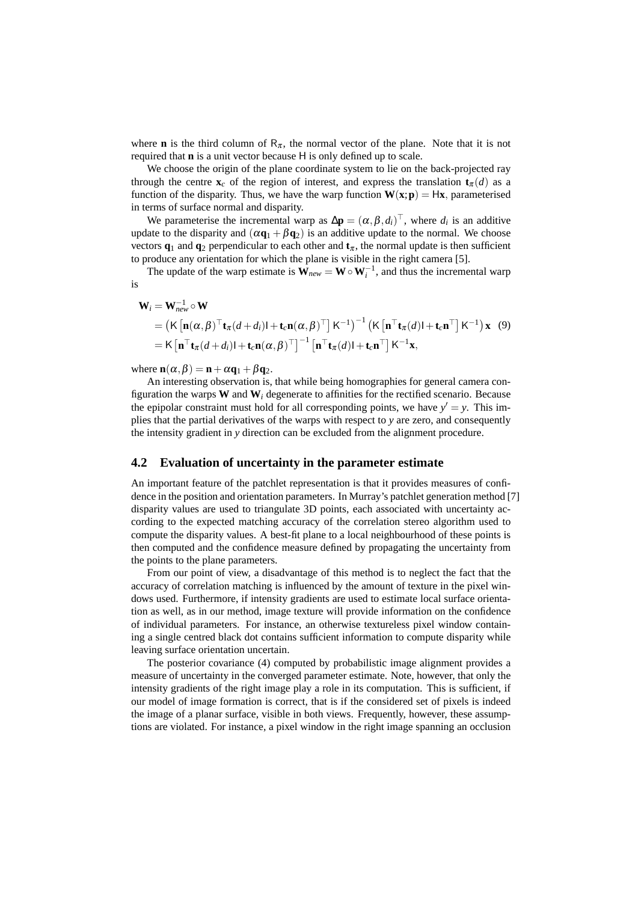where **n** is the third column of  $R_{\pi}$ , the normal vector of the plane. Note that it is not required that **n** is a unit vector because H is only defined up to scale.

We choose the origin of the plane coordinate system to lie on the back-projected ray through the centre  $\mathbf{x}_c$  of the region of interest, and express the translation  $\mathbf{t}_{\pi}(d)$  as a function of the disparity. Thus, we have the warp function  $W(x; p) = Hx$ , parameterised in terms of surface normal and disparity.

We parameterise the incremental warp as  $\Delta \mathbf{p} = (\alpha, \beta, d_i)^T$ , where  $d_i$  is an additive update to the disparity and  $(\alpha \mathbf{q}_1 + \beta \mathbf{q}_2)$  is an additive update to the normal. We choose vectors  $\mathbf{q}_1$  and  $\mathbf{q}_2$  perpendicular to each other and  $\mathbf{t}_\pi$ , the normal update is then sufficient to produce any orientation for which the plane is visible in the right camera [5].

The update of the warp estimate is  $\mathbf{W}_{new} = \mathbf{W} \circ \mathbf{W}_{i}^{-1}$ , and thus the incremental warp is

$$
\mathbf{W}_{i} = \mathbf{W}_{new}^{-1} \circ \mathbf{W}
$$
\n
$$
= \left( \mathsf{K} \left[ \mathbf{n}(\alpha, \beta)^{\top} \mathbf{t}_{\pi}(d+d_{i}) \mathbf{l} + \mathbf{t}_{c} \mathbf{n}(\alpha, \beta)^{\top} \right] \mathsf{K}^{-1} \right)^{-1} \left( \mathsf{K} \left[ \mathbf{n}^{\top} \mathbf{t}_{\pi}(d) \mathbf{l} + \mathbf{t}_{c} \mathbf{n}^{\top} \right] \mathsf{K}^{-1} \right) \mathbf{x} \quad (9)
$$
\n
$$
= \mathsf{K} \left[ \mathbf{n}^{\top} \mathbf{t}_{\pi}(d+d_{i}) \mathbf{l} + \mathbf{t}_{c} \mathbf{n}(\alpha, \beta)^{\top} \right]^{-1} \left[ \mathbf{n}^{\top} \mathbf{t}_{\pi}(d) \mathbf{l} + \mathbf{t}_{c} \mathbf{n}^{\top} \right] \mathsf{K}^{-1} \mathbf{x},
$$

where  $\mathbf{n}(\alpha, \beta) = \mathbf{n} + \alpha \mathbf{q}_1 + \beta \mathbf{q}_2$ .

An interesting observation is, that while being homographies for general camera configuration the warps  $W$  and  $W$ *<sub>i</sub>* degenerate to affinities for the rectified scenario. Because the epipolar constraint must hold for all corresponding points, we have  $y' = y$ . This implies that the partial derivatives of the warps with respect to *y* are zero, and consequently the intensity gradient in *y* direction can be excluded from the alignment procedure.

#### **4.2 Evaluation of uncertainty in the parameter estimate**

An important feature of the patchlet representation is that it provides measures of confidence in the position and orientation parameters. In Murray's patchlet generation method [7] disparity values are used to triangulate 3D points, each associated with uncertainty according to the expected matching accuracy of the correlation stereo algorithm used to compute the disparity values. A best-fit plane to a local neighbourhood of these points is then computed and the confidence measure defined by propagating the uncertainty from the points to the plane parameters.

From our point of view, a disadvantage of this method is to neglect the fact that the accuracy of correlation matching is influenced by the amount of texture in the pixel windows used. Furthermore, if intensity gradients are used to estimate local surface orientation as well, as in our method, image texture will provide information on the confidence of individual parameters. For instance, an otherwise textureless pixel window containing a single centred black dot contains sufficient information to compute disparity while leaving surface orientation uncertain.

The posterior covariance (4) computed by probabilistic image alignment provides a measure of uncertainty in the converged parameter estimate. Note, however, that only the intensity gradients of the right image play a role in its computation. This is sufficient, if our model of image formation is correct, that is if the considered set of pixels is indeed the image of a planar surface, visible in both views. Frequently, however, these assumptions are violated. For instance, a pixel window in the right image spanning an occlusion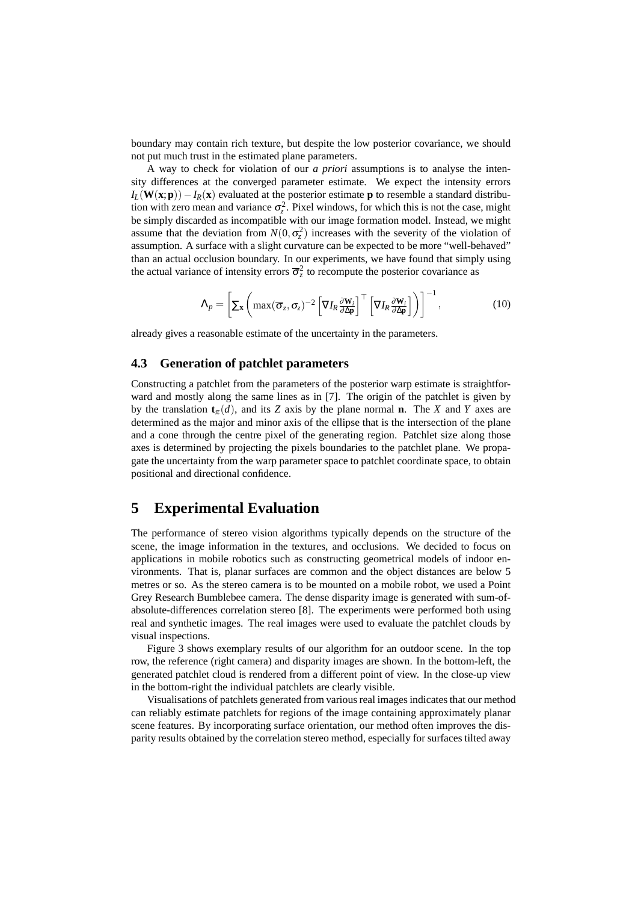boundary may contain rich texture, but despite the low posterior covariance, we should not put much trust in the estimated plane parameters.

A way to check for violation of our *a priori* assumptions is to analyse the intensity differences at the converged parameter estimate. We expect the intensity errors  $I_L(\mathbf{W}(\mathbf{x}; \mathbf{p})) - I_R(\mathbf{x})$  evaluated at the posterior estimate **p** to resemble a standard distribution with zero mean and variance  $\sigma_z^2$ . Pixel windows, for which this is not the case, might be simply discarded as incompatible with our image formation model. Instead, we might assume that the deviation from  $N(0, \sigma_z^2)$  increases with the severity of the violation of assumption. A surface with a slight curvature can be expected to be more "well-behaved" than an actual occlusion boundary. In our experiments, we have found that simply using the actual variance of intensity errors  $\overline{\sigma}_z^2$  to recompute the posterior covariance as

$$
\Lambda_p = \left[ \sum_{\mathbf{x}} \left( \max(\overline{\sigma}_z, \sigma_z)^{-2} \left[ \nabla I_R \frac{\partial \mathbf{W}_i}{\partial \Delta \mathbf{p}} \right]^\top \left[ \nabla I_R \frac{\partial \mathbf{W}_i}{\partial \Delta \mathbf{p}} \right] \right) \right]^{-1},\tag{10}
$$

already gives a reasonable estimate of the uncertainty in the parameters.

#### **4.3 Generation of patchlet parameters**

Constructing a patchlet from the parameters of the posterior warp estimate is straightforward and mostly along the same lines as in [7]. The origin of the patchlet is given by by the translation  $\mathbf{t}_{\pi}(d)$ , and its *Z* axis by the plane normal **n**. The *X* and *Y* axes are determined as the major and minor axis of the ellipse that is the intersection of the plane and a cone through the centre pixel of the generating region. Patchlet size along those axes is determined by projecting the pixels boundaries to the patchlet plane. We propagate the uncertainty from the warp parameter space to patchlet coordinate space, to obtain positional and directional confidence.

#### **5 Experimental Evaluation**

The performance of stereo vision algorithms typically depends on the structure of the scene, the image information in the textures, and occlusions. We decided to focus on applications in mobile robotics such as constructing geometrical models of indoor environments. That is, planar surfaces are common and the object distances are below 5 metres or so. As the stereo camera is to be mounted on a mobile robot, we used a Point Grey Research Bumblebee camera. The dense disparity image is generated with sum-ofabsolute-differences correlation stereo [8]. The experiments were performed both using real and synthetic images. The real images were used to evaluate the patchlet clouds by visual inspections.

Figure 3 shows exemplary results of our algorithm for an outdoor scene. In the top row, the reference (right camera) and disparity images are shown. In the bottom-left, the generated patchlet cloud is rendered from a different point of view. In the close-up view in the bottom-right the individual patchlets are clearly visible.

Visualisations of patchlets generated from various real images indicates that our method can reliably estimate patchlets for regions of the image containing approximately planar scene features. By incorporating surface orientation, our method often improves the disparity results obtained by the correlation stereo method, especially for surfaces tilted away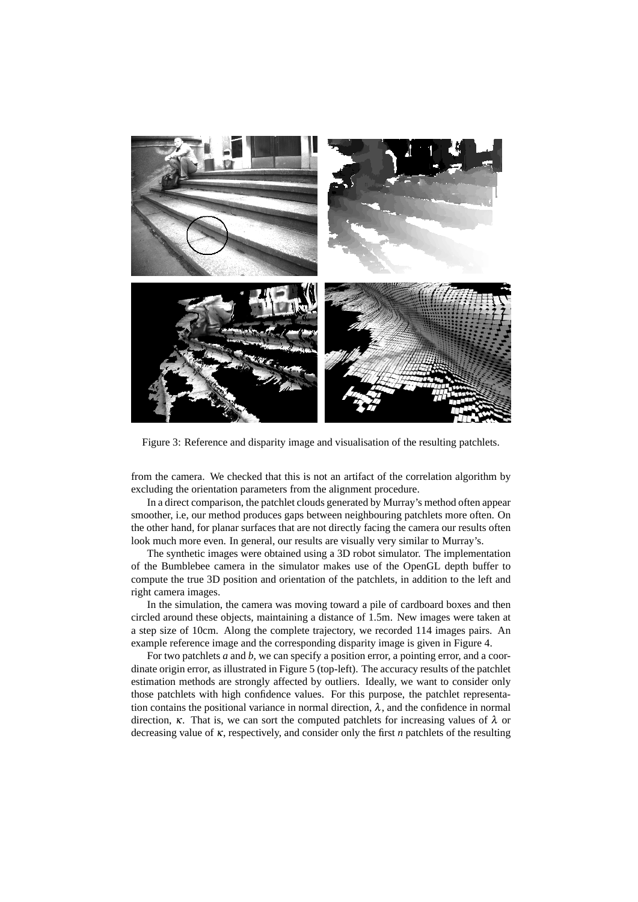

Figure 3: Reference and disparity image and visualisation of the resulting patchlets.

from the camera. We checked that this is not an artifact of the correlation algorithm by excluding the orientation parameters from the alignment procedure.

In a direct comparison, the patchlet clouds generated by Murray's method often appear smoother, i.e, our method produces gaps between neighbouring patchlets more often. On the other hand, for planar surfaces that are not directly facing the camera our results often look much more even. In general, our results are visually very similar to Murray's.

The synthetic images were obtained using a 3D robot simulator. The implementation of the Bumblebee camera in the simulator makes use of the OpenGL depth buffer to compute the true 3D position and orientation of the patchlets, in addition to the left and right camera images.

In the simulation, the camera was moving toward a pile of cardboard boxes and then circled around these objects, maintaining a distance of 1.5m. New images were taken at a step size of 10cm. Along the complete trajectory, we recorded 114 images pairs. An example reference image and the corresponding disparity image is given in Figure 4.

For two patchlets *a* and *b*, we can specify a position error, a pointing error, and a coordinate origin error, as illustrated in Figure 5 (top-left). The accuracy results of the patchlet estimation methods are strongly affected by outliers. Ideally, we want to consider only those patchlets with high confidence values. For this purpose, the patchlet representation contains the positional variance in normal direction,  $\lambda$ , and the confidence in normal direction,  $\kappa$ . That is, we can sort the computed patchlets for increasing values of  $\lambda$  or decreasing value of κ, respectively, and consider only the first *n* patchlets of the resulting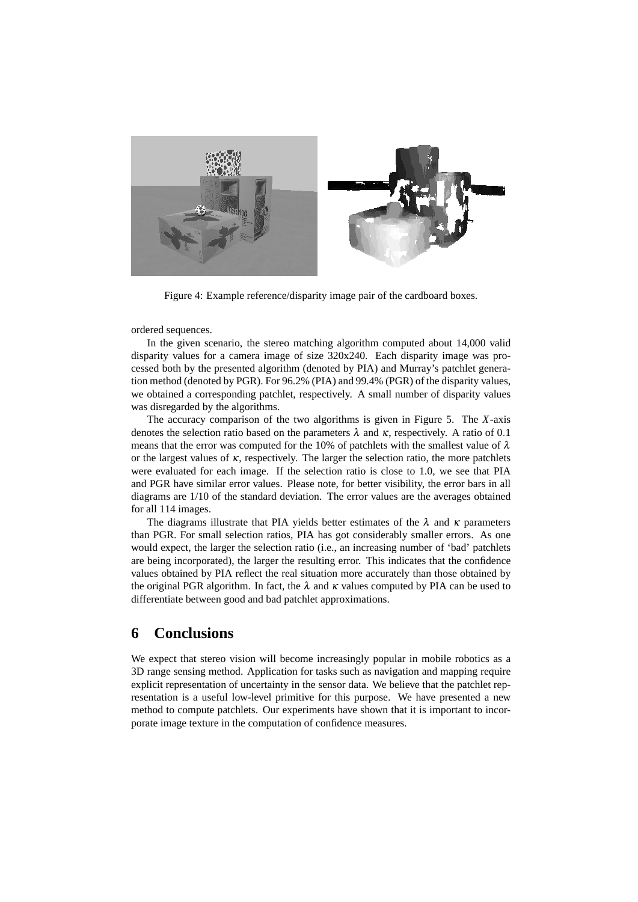

Figure 4: Example reference/disparity image pair of the cardboard boxes.

ordered sequences.

In the given scenario, the stereo matching algorithm computed about 14,000 valid disparity values for a camera image of size 320x240. Each disparity image was processed both by the presented algorithm (denoted by PIA) and Murray's patchlet generation method (denoted by PGR). For 96.2% (PIA) and 99.4% (PGR) of the disparity values, we obtained a corresponding patchlet, respectively. A small number of disparity values was disregarded by the algorithms.

The accuracy comparison of the two algorithms is given in Figure 5. The *X*-axis denotes the selection ratio based on the parameters  $\lambda$  and  $\kappa$ , respectively. A ratio of 0.1 means that the error was computed for the 10% of patchlets with the smallest value of  $\lambda$ or the largest values of  $\kappa$ , respectively. The larger the selection ratio, the more patchlets were evaluated for each image. If the selection ratio is close to 1.0, we see that PIA and PGR have similar error values. Please note, for better visibility, the error bars in all diagrams are 1/10 of the standard deviation. The error values are the averages obtained for all 114 images.

The diagrams illustrate that PIA yields better estimates of the  $\lambda$  and  $\kappa$  parameters than PGR. For small selection ratios, PIA has got considerably smaller errors. As one would expect, the larger the selection ratio (i.e., an increasing number of 'bad' patchlets are being incorporated), the larger the resulting error. This indicates that the confidence values obtained by PIA reflect the real situation more accurately than those obtained by the original PGR algorithm. In fact, the  $\lambda$  and  $\kappa$  values computed by PIA can be used to differentiate between good and bad patchlet approximations.

#### **6 Conclusions**

We expect that stereo vision will become increasingly popular in mobile robotics as a 3D range sensing method. Application for tasks such as navigation and mapping require explicit representation of uncertainty in the sensor data. We believe that the patchlet representation is a useful low-level primitive for this purpose. We have presented a new method to compute patchlets. Our experiments have shown that it is important to incorporate image texture in the computation of confidence measures.